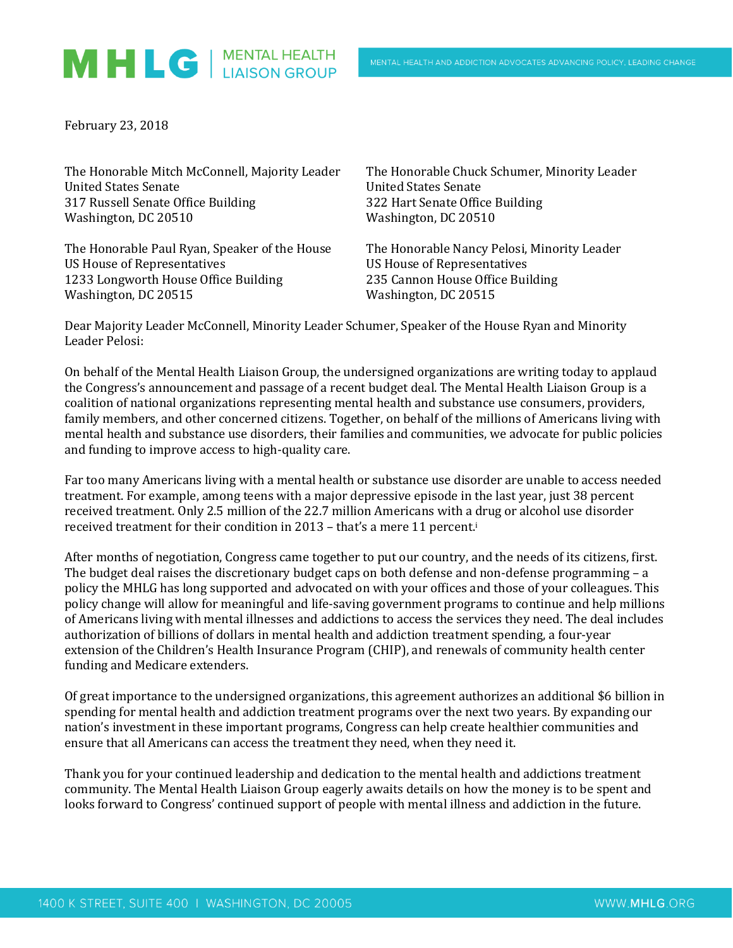## MHLG | MENTAL HEALTH

February 23, 2018

| The Honorable Mitch McConnell, Majority Leader | The Honorable Chuck Schumer, Minority Leader |
|------------------------------------------------|----------------------------------------------|
| <b>United States Senate</b>                    | <b>United States Senate</b>                  |
| 317 Russell Senate Office Building             | 322 Hart Senate Office Building              |
| Washington, DC 20510                           | Washington, DC 20510                         |
| The Honorable Paul Ryan, Speaker of the House  | The Honorable Nancy Pelosi, Minority Leader  |
| <b>US House of Representatives</b>             | <b>US House of Representatives</b>           |
| 1233 Longworth House Office Building           | 235 Cannon House Office Building             |

Dear Majority Leader McConnell, Minority Leader Schumer, Speaker of the House Ryan and Minority Leader Pelosi:

Washington, DC 20515 Washington, DC 20515

On behalf of the Mental Health Liaison Group, the undersigned organizations are writing today to applaud the Congress's announcement and passage of a recent budget deal. The Mental Health Liaison Group is a coalition of national organizations representing mental health and substance use consumers, providers, family members, and other concerned citizens. Together, on behalf of the millions of Americans living with mental health and substance use disorders, their families and communities, we advocate for public policies and funding to improve access to high-quality care.

Far too many Americans living with a mental health or substance use disorder are unable to access needed treatment. For example, among teens with a major depressive episode in the last year, just 38 percent received treatment. Only 2.5 million of the 22.7 million Americans with a drug or alcohol use disorder received treatment for their condition in 2013 - that's a mere 11 percent.<sup>i</sup>

After months of negotiation, Congress came together to put our country, and the needs of its citizens, first. The budget deal raises the discretionary budget caps on both defense and non-defense programming – a policy the MHLG has long supported and advocated on with your offices and those of your colleagues. This policy change will allow for meaningful and life-saving government programs to continue and help millions of Americans living with mental illnesses and addictions to access the services they need. The deal includes authorization of billions of dollars in mental health and addiction treatment spending, a four-year extension of the Children's Health Insurance Program (CHIP), and renewals of community health center funding and Medicare extenders.

Of great importance to the undersigned organizations, this agreement authorizes an additional \$6 billion in spending for mental health and addiction treatment programs over the next two years. By expanding our nation's investment in these important programs, Congress can help create healthier communities and ensure that all Americans can access the treatment they need, when they need it.

Thank you for your continued leadership and dedication to the mental health and addictions treatment community. The Mental Health Liaison Group eagerly awaits details on how the money is to be spent and looks forward to Congress' continued support of people with mental illness and addiction in the future.